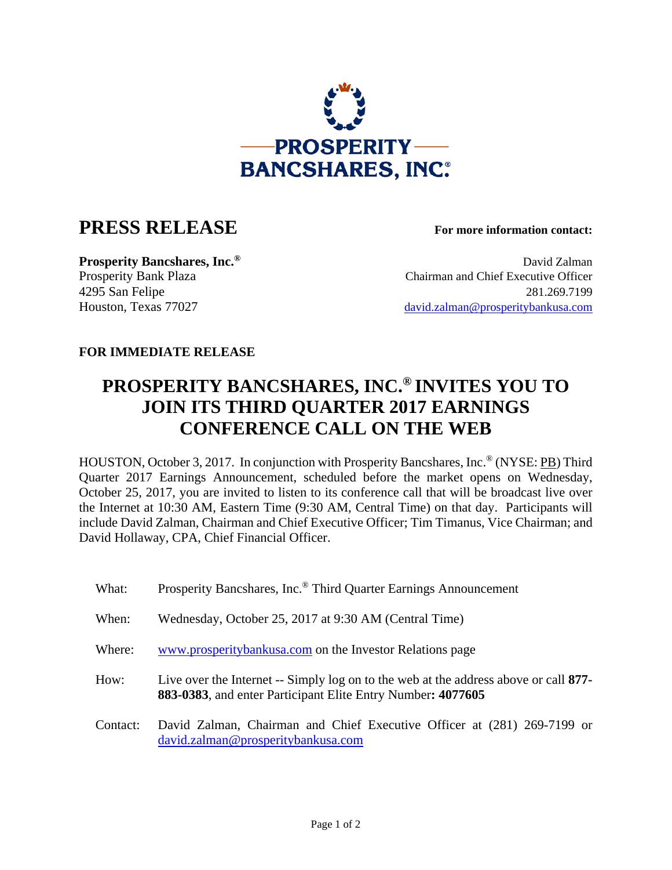

## **PRESS RELEASE For more information contact:**

**Prosperity Bancshares, Inc.<sup>®</sup> David Zalman** Prosperity Bank Plaza Chairman and Chief Executive Officer 4295 San Felipe 281.269.7199 Houston, Texas 77027 david.zalman@prosperitybankusa.com

## **FOR IMMEDIATE RELEASE**

## **PROSPERITY BANCSHARES, INC.® INVITES YOU TO JOIN ITS THIRD QUARTER 2017 EARNINGS CONFERENCE CALL ON THE WEB**

HOUSTON, October 3, 2017. In conjunction with Prosperity Bancshares, Inc.® (NYSE: PB) Third Quarter 2017 Earnings Announcement, scheduled before the market opens on Wednesday, October 25, 2017, you are invited to listen to its conference call that will be broadcast live over the Internet at 10:30 AM, Eastern Time (9:30 AM, Central Time) on that day. Participants will include David Zalman, Chairman and Chief Executive Officer; Tim Timanus, Vice Chairman; and David Hollaway, CPA, Chief Financial Officer.

| What:    | Prosperity Bancshares, Inc. <sup>®</sup> Third Quarter Earnings Announcement                                                                        |
|----------|-----------------------------------------------------------------------------------------------------------------------------------------------------|
| When:    | Wednesday, October 25, 2017 at 9:30 AM (Central Time)                                                                                               |
| Where:   | www.prosperitybankusa.com on the Investor Relations page                                                                                            |
| How:     | Live over the Internet -- Simply log on to the web at the address above or call 877-<br>883-0383, and enter Participant Elite Entry Number: 4077605 |
| Contact: | David Zalman, Chairman and Chief Executive Officer at (281) 269-7199 or<br>david.zalman@prosperitybankusa.com                                       |